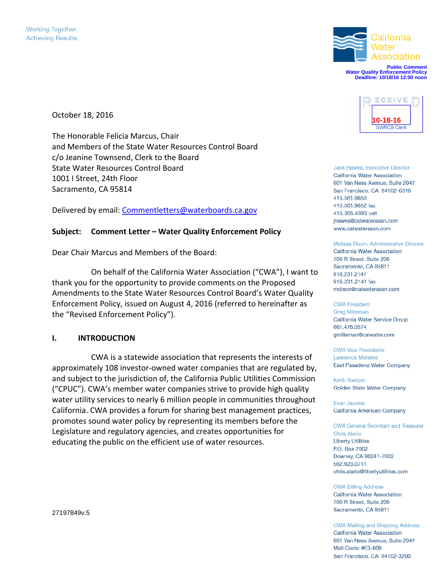

**Public Comment Water Quality Enforcement Policy Deadline: 10/18/16 12:00 noon**

October 18, 2016

The Honorable Felicia Marcus, Chair and Members of the State Water Resources Control Board c/o Jeanine Townsend, Clerk to the Board State Water Resources Control Board 1001 I Street, 24th Floor Sacramento, CA 95814

Delivered by email: Commentletters@waterboards.ca.gov

#### **Subject: Comment Letter – Water Quality Enforcement Policy**

Dear Chair Marcus and Members of the Board:

On behalf of the California Water Association ("CWA"), I want to thank you for the opportunity to provide comments on the Proposed Amendments to the State Water Resources Control Board's Water Quality Enforcement Policy, issued on August 4, 2016 (referred to hereinafter as the "Revised Enforcement Policy").

#### **I. INTRODUCTION**

CWA is a statewide association that represents the interests of approximately 108 investor-owned water companies that are regulated by, and subject to the jurisdiction of, the California Public Utilities Commission ("CPUC"). CWA's member water companies strive to provide high quality water utility services to nearly 6 million people in communities throughout California. CWA provides a forum for sharing best management practices, promotes sound water policy by representing its members before the Legislature and regulatory agencies, and creates opportunities for educating the public on the efficient use of water resources.



Jack Hawks, Executive Director California Water Association 601 Van Ness Avenue, Suite 2047 San Francisco, CA 94102-6316 415.561.9650 415.561.9652 fax 415.305.4393 cell ihawks@calwaterassn.com www.calwaterassn.com

Melissa Dixon, Administrative Director California Water Association 700 R Street, Suite 200 Sacramento, CA 95811 916.231.2147

916.231.2141 fax mdixon@calwaterassn.com

#### **CWA President**

**Greg Milleman** California Water Service Group 661.476.0574 gmilleman@calwater.com

**CWA Vice Presidents** Lawrence Morales East Pasadena Water Company

**Keith Switzer** Golden State Water Company

Evan Jacobs California American Company

#### **CWA General Secretary and Treasurer Chris Alario**

**Liberty Utilities** P.O. Box 7002 Downey, CA 90241-7002 562.923.0711 chris.alario@libertyutilities.com

#### **CWA Billing Address**

California Water Association 700 R Street, Suite 200 Sacramento, CA 95811

**CWA Mailing and Shipping Address** California Water Association 601 Van Ness Avenue, Suite 2047 Mail Code: #E3-608 San Francisco, CA 94102-3200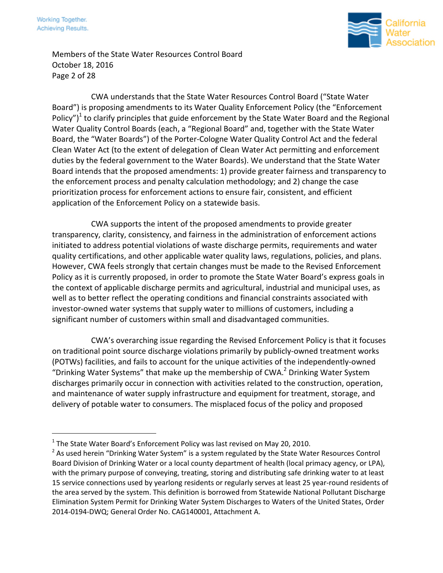

Members of the State Water Resources Control Board October 18, 2016 Page 2 of 28

CWA understands that the State Water Resources Control Board ("State Water Board") is proposing amendments to its Water Quality Enforcement Policy (the "Enforcement Policy")<sup>1</sup> to clarify principles that guide enforcement by the State Water Board and the Regional Water Quality Control Boards (each, a "Regional Board" and, together with the State Water Board, the "Water Boards") of the Porter-Cologne Water Quality Control Act and the federal Clean Water Act (to the extent of delegation of Clean Water Act permitting and enforcement duties by the federal government to the Water Boards). We understand that the State Water Board intends that the proposed amendments: 1) provide greater fairness and transparency to the enforcement process and penalty calculation methodology; and 2) change the case prioritization process for enforcement actions to ensure fair, consistent, and efficient application of the Enforcement Policy on a statewide basis.

CWA supports the intent of the proposed amendments to provide greater transparency, clarity, consistency, and fairness in the administration of enforcement actions initiated to address potential violations of waste discharge permits, requirements and water quality certifications, and other applicable water quality laws, regulations, policies, and plans. However, CWA feels strongly that certain changes must be made to the Revised Enforcement Policy as it is currently proposed, in order to promote the State Water Board's express goals in the context of applicable discharge permits and agricultural, industrial and municipal uses, as well as to better reflect the operating conditions and financial constraints associated with investor-owned water systems that supply water to millions of customers, including a significant number of customers within small and disadvantaged communities.

CWA's overarching issue regarding the Revised Enforcement Policy is that it focuses on traditional point source discharge violations primarily by publicly-owned treatment works (POTWs) facilities, and fails to account for the unique activities of the independently-owned "Drinking Water Systems" that make up the membership of CWA. $2$  Drinking Water System discharges primarily occur in connection with activities related to the construction, operation, and maintenance of water supply infrastructure and equipment for treatment, storage, and delivery of potable water to consumers. The misplaced focus of the policy and proposed

 $^1$  The State Water Board's Enforcement Policy was last revised on May 20, 2010.

<sup>&</sup>lt;sup>2</sup> As used herein "Drinking Water System" is a system regulated by the State Water Resources Control Board Division of Drinking Water or a local county department of health (local primacy agency, or LPA), with the primary purpose of conveying, treating, storing and distributing safe drinking water to at least 15 service connections used by yearlong residents or regularly serves at least 25 year-round residents of the area served by the system. This definition is borrowed from Statewide National Pollutant Discharge Elimination System Permit for Drinking Water System Discharges to Waters of the United States, Order 2014-0194-DWQ; General Order No. CAG140001, Attachment A.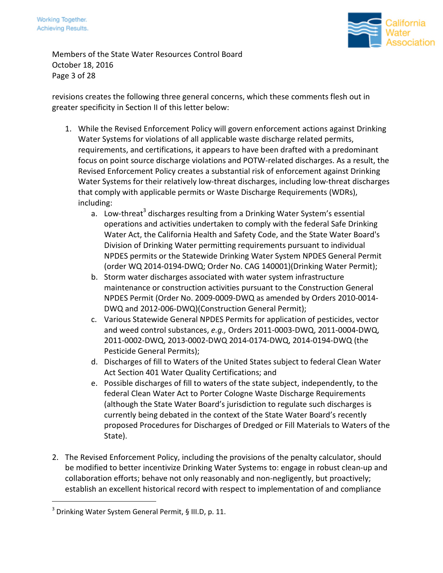

Members of the State Water Resources Control Board October 18, 2016 Page 3 of 28

revisions creates the following three general concerns, which these comments flesh out in greater specificity in Section II of this letter below:

- 1. While the Revised Enforcement Policy will govern enforcement actions against Drinking Water Systems for violations of all applicable waste discharge related permits, requirements, and certifications, it appears to have been drafted with a predominant focus on point source discharge violations and POTW-related discharges. As a result, the Revised Enforcement Policy creates a substantial risk of enforcement against Drinking Water Systems for their relatively low-threat discharges, including low-threat discharges that comply with applicable permits or Waste Discharge Requirements (WDRs), including:
	- a. Low-threat<sup>3</sup> discharges resulting from a Drinking Water System's essential operations and activities undertaken to comply with the federal Safe Drinking Water Act, the California Health and Safety Code, and the State Water Board's Division of Drinking Water permitting requirements pursuant to individual NPDES permits or the Statewide Drinking Water System NPDES General Permit (order WQ 2014-0194-DWQ; Order No. CAG 140001)(Drinking Water Permit);
	- b. Storm water discharges associated with water system infrastructure maintenance or construction activities pursuant to the Construction General NPDES Permit (Order No. 2009-0009-DWQ as amended by Orders 2010-0014- DWQ and 2012-006-DWQ)(Construction General Permit);
	- c. Various Statewide General NPDES Permits for application of pesticides, vector and weed control substances, *e.g.,* Orders 2011-0003-DWQ, 2011-0004-DWQ, 2011-0002-DWQ, 2013-0002-DWQ 2014-0174-DWQ, 2014-0194-DWQ (the Pesticide General Permits);
	- d. Discharges of fill to Waters of the United States subject to federal Clean Water Act Section 401 Water Quality Certifications; and
	- e. Possible discharges of fill to waters of the state subject, independently, to the federal Clean Water Act to Porter Cologne Waste Discharge Requirements (although the State Water Board's jurisdiction to regulate such discharges is currently being debated in the context of the State Water Board's recently proposed Procedures for Discharges of Dredged or Fill Materials to Waters of the State).
- 2. The Revised Enforcement Policy, including the provisions of the penalty calculator, should be modified to better incentivize Drinking Water Systems to: engage in robust clean-up and collaboration efforts; behave not only reasonably and non-negligently, but proactively; establish an excellent historical record with respect to implementation of and compliance

 $3$  Drinking Water System General Permit, § III.D, p. 11.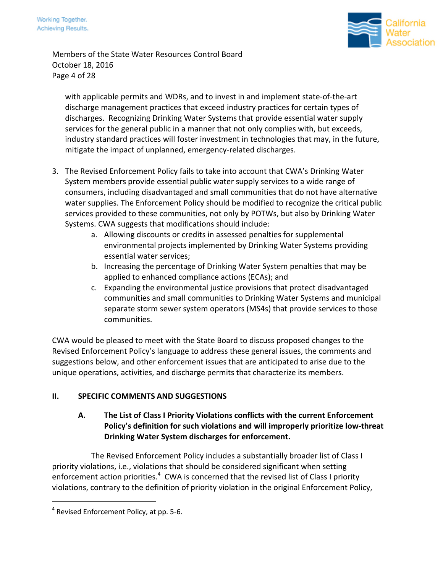

Members of the State Water Resources Control Board October 18, 2016 Page 4 of 28

with applicable permits and WDRs, and to invest in and implement state-of-the-art discharge management practices that exceed industry practices for certain types of discharges. Recognizing Drinking Water Systems that provide essential water supply services for the general public in a manner that not only complies with, but exceeds, industry standard practices will foster investment in technologies that may, in the future, mitigate the impact of unplanned, emergency-related discharges.

- 3. The Revised Enforcement Policy fails to take into account that CWA's Drinking Water System members provide essential public water supply services to a wide range of consumers, including disadvantaged and small communities that do not have alternative water supplies. The Enforcement Policy should be modified to recognize the critical public services provided to these communities, not only by POTWs, but also by Drinking Water Systems. CWA suggests that modifications should include:
	- a. Allowing discounts or credits in assessed penalties for supplemental environmental projects implemented by Drinking Water Systems providing essential water services;
	- b. Increasing the percentage of Drinking Water System penalties that may be applied to enhanced compliance actions (ECAs); and
	- c. Expanding the environmental justice provisions that protect disadvantaged communities and small communities to Drinking Water Systems and municipal separate storm sewer system operators (MS4s) that provide services to those communities.

CWA would be pleased to meet with the State Board to discuss proposed changes to the Revised Enforcement Policy's language to address these general issues, the comments and suggestions below, and other enforcement issues that are anticipated to arise due to the unique operations, activities, and discharge permits that characterize its members.

# **II. SPECIFIC COMMENTS AND SUGGESTIONS**

### **A. The List of Class I Priority Violations conflicts with the current Enforcement Policy's definition for such violations and will improperly prioritize low-threat Drinking Water System discharges for enforcement.**

The Revised Enforcement Policy includes a substantially broader list of Class I priority violations, i.e., violations that should be considered significant when setting enforcement action priorities.<sup>4</sup> CWA is concerned that the revised list of Class I priority violations, contrary to the definition of priority violation in the original Enforcement Policy,

<sup>&</sup>lt;sup>4</sup> Revised Enforcement Policy, at pp. 5-6.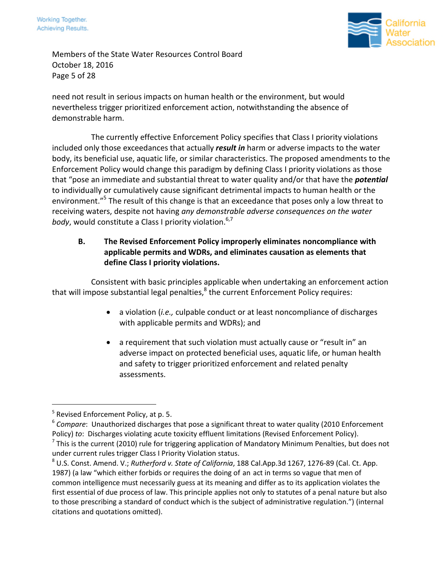

Members of the State Water Resources Control Board October 18, 2016 Page 5 of 28

need not result in serious impacts on human health or the environment, but would nevertheless trigger prioritized enforcement action, notwithstanding the absence of demonstrable harm.

The currently effective Enforcement Policy specifies that Class I priority violations included only those exceedances that actually *result in* harm or adverse impacts to the water body, its beneficial use, aquatic life, or similar characteristics. The proposed amendments to the Enforcement Policy would change this paradigm by defining Class I priority violations as those that "pose an immediate and substantial threat to water quality and/or that have the *potential* to individually or cumulatively cause significant detrimental impacts to human health or the environment."<sup>5</sup> The result of this change is that an exceedance that poses only a low threat to receiving waters, despite not having *any demonstrable adverse consequences on the water body*, would constitute a Class I priority violation.<sup>6,7</sup>

## **B. The Revised Enforcement Policy improperly eliminates noncompliance with applicable permits and WDRs, and eliminates causation as elements that define Class I priority violations.**

Consistent with basic principles applicable when undertaking an enforcement action that will impose substantial legal penalties, $^8$  the current Enforcement Policy requires:

- a violation (*i.e.,* culpable conduct or at least noncompliance of discharges with applicable permits and WDRs); and
- a requirement that such violation must actually cause or "result in" an adverse impact on protected beneficial uses, aquatic life, or human health and safety to trigger prioritized enforcement and related penalty assessments.

<sup>&</sup>lt;sup>5</sup> Revised Enforcement Policy, at p. 5.

<sup>6</sup> *Compare*: Unauthorized discharges that pose a significant threat to water quality (2010 Enforcement Policy) *to*: Discharges violating acute toxicity effluent limitations (Revised Enforcement Policy).

<sup>&</sup>lt;sup>7</sup> This is the current (2010) rule for triggering application of Mandatory Minimum Penalties, but does not under current rules trigger Class I Priority Violation status.

<sup>8</sup> U.S. Const. Amend. V.; *Rutherford v. State of California*, 188 Cal.App.3d 1267, 1276-89 (Cal. Ct. App. 1987) (a law "which either forbids or requires the doing of an act in terms so vague that men of common intelligence must necessarily guess at its meaning and differ as to its application violates the first essential of due process of law. This principle applies not only to statutes of a penal nature but also to those prescribing a standard of conduct which is the subject of administrative regulation.") (internal citations and quotations omitted).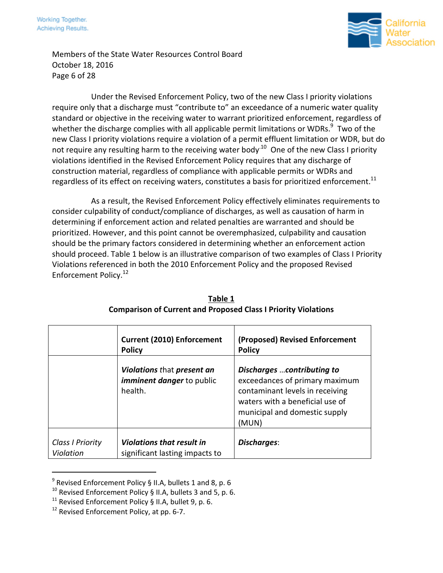

Members of the State Water Resources Control Board October 18, 2016 Page 6 of 28

Under the Revised Enforcement Policy, two of the new Class I priority violations require only that a discharge must "contribute to" an exceedance of a numeric water quality standard or objective in the receiving water to warrant prioritized enforcement, regardless of whether the discharge complies with all applicable permit limitations or WDRs. $^{9}$  Two of the new Class I priority violations require a violation of a permit effluent limitation or WDR, but do not require any resulting harm to the receiving water body<sup>-10</sup> One of the new Class I priority violations identified in the Revised Enforcement Policy requires that any discharge of construction material, regardless of compliance with applicable permits or WDRs and regardless of its effect on receiving waters, constitutes a basis for prioritized enforcement.<sup>11</sup>

As a result, the Revised Enforcement Policy effectively eliminates requirements to consider culpability of conduct/compliance of discharges, as well as causation of harm in determining if enforcement action and related penalties are warranted and should be prioritized. However, and this point cannot be overemphasized, culpability and causation should be the primary factors considered in determining whether an enforcement action should proceed. Table 1 below is an illustrative comparison of two examples of Class I Priority Violations referenced in both the 2010 Enforcement Policy and the proposed Revised Enforcement Policy.<sup>12</sup>

|                                      | <b>Current (2010) Enforcement</b><br><b>Policy</b>                        | (Proposed) Revised Enforcement<br><b>Policy</b>                                                                                                                                     |
|--------------------------------------|---------------------------------------------------------------------------|-------------------------------------------------------------------------------------------------------------------------------------------------------------------------------------|
|                                      | Violations that present an<br><i>imminent danger to public</i><br>health. | <b>Discharges contributing to</b><br>exceedances of primary maximum<br>contaminant levels in receiving<br>waters with a beneficial use of<br>municipal and domestic supply<br>(MUN) |
| <b>Class I Priority</b><br>Violation | <b>Violations that result in</b><br>significant lasting impacts to        | <b>Discharges:</b>                                                                                                                                                                  |

**Table 1 Comparison of Current and Proposed Class I Priority Violations**

<sup>&</sup>lt;sup>9</sup> Revised Enforcement Policy § II.A, bullets 1 and 8, p. 6

<sup>&</sup>lt;sup>10</sup> Revised Enforcement Policy § II.A, bullets 3 and 5, p. 6.

<sup>&</sup>lt;sup>11</sup> Revised Enforcement Policy § II.A, bullet 9, p. 6.

 $12$  Revised Enforcement Policy, at pp. 6-7.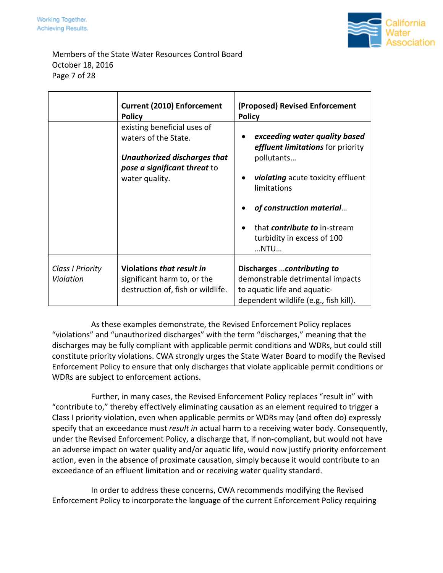

### Members of the State Water Resources Control Board October 18, 2016 Page 7 of 28

|                               | <b>Current (2010) Enforcement</b><br><b>Policy</b>                                                                                    | (Proposed) Revised Enforcement<br><b>Policy</b>                                                                                                                                                                                                                                      |
|-------------------------------|---------------------------------------------------------------------------------------------------------------------------------------|--------------------------------------------------------------------------------------------------------------------------------------------------------------------------------------------------------------------------------------------------------------------------------------|
|                               | existing beneficial uses of<br>waters of the State.<br>Unauthorized discharges that<br>pose a significant threat to<br>water quality. | exceeding water quality based<br>$\bullet$<br><b><i>effluent limitations</i></b> for priority<br>pollutants<br><i>violating</i> acute toxicity effluent<br>limitations<br>of construction material<br>that <i>contribute to</i> in-stream<br>turbidity in excess of 100<br>$$ NTU $$ |
| Class I Priority<br>Violation | Violations that result in<br>significant harm to, or the<br>destruction of, fish or wildlife.                                         | Discharges  contributing to<br>demonstrable detrimental impacts<br>to aquatic life and aquatic-<br>dependent wildlife (e.g., fish kill).                                                                                                                                             |

As these examples demonstrate, the Revised Enforcement Policy replaces "violations" and "unauthorized discharges" with the term "discharges," meaning that the discharges may be fully compliant with applicable permit conditions and WDRs, but could still constitute priority violations. CWA strongly urges the State Water Board to modify the Revised Enforcement Policy to ensure that only discharges that violate applicable permit conditions or WDRs are subject to enforcement actions.

Further, in many cases, the Revised Enforcement Policy replaces "result in" with "contribute to," thereby effectively eliminating causation as an element required to trigger a Class I priority violation, even when applicable permits or WDRs may (and often do) expressly specify that an exceedance must *result in* actual harm to a receiving water body. Consequently, under the Revised Enforcement Policy, a discharge that, if non-compliant, but would not have an adverse impact on water quality and/or aquatic life, would now justify priority enforcement action, even in the absence of proximate causation, simply because it would contribute to an exceedance of an effluent limitation and or receiving water quality standard.

In order to address these concerns, CWA recommends modifying the Revised Enforcement Policy to incorporate the language of the current Enforcement Policy requiring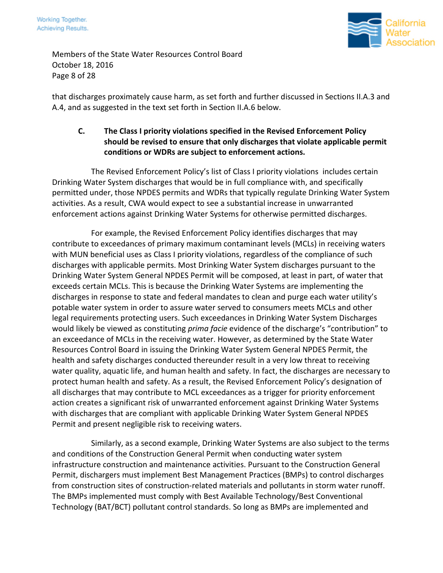

Members of the State Water Resources Control Board October 18, 2016 Page 8 of 28

that discharges proximately cause harm, as set forth and further discussed in Sections II.A.3 and A.4, and as suggested in the text set forth in Section II.A.6 below.

### **C. The Class I priority violations specified in the Revised Enforcement Policy should be revised to ensure that only discharges that violate applicable permit conditions or WDRs are subject to enforcement actions.**

The Revised Enforcement Policy's list of Class I priority violations includes certain Drinking Water System discharges that would be in full compliance with, and specifically permitted under, those NPDES permits and WDRs that typically regulate Drinking Water System activities. As a result, CWA would expect to see a substantial increase in unwarranted enforcement actions against Drinking Water Systems for otherwise permitted discharges.

For example, the Revised Enforcement Policy identifies discharges that may contribute to exceedances of primary maximum contaminant levels (MCLs) in receiving waters with MUN beneficial uses as Class I priority violations, regardless of the compliance of such discharges with applicable permits. Most Drinking Water System discharges pursuant to the Drinking Water System General NPDES Permit will be composed, at least in part, of water that exceeds certain MCLs. This is because the Drinking Water Systems are implementing the discharges in response to state and federal mandates to clean and purge each water utility's potable water system in order to assure water served to consumers meets MCLs and other legal requirements protecting users. Such exceedances in Drinking Water System Discharges would likely be viewed as constituting *prima facie* evidence of the discharge's "contribution" to an exceedance of MCLs in the receiving water. However, as determined by the State Water Resources Control Board in issuing the Drinking Water System General NPDES Permit, the health and safety discharges conducted thereunder result in a very low threat to receiving water quality, aquatic life, and human health and safety. In fact, the discharges are necessary to protect human health and safety. As a result, the Revised Enforcement Policy's designation of all discharges that may contribute to MCL exceedances as a trigger for priority enforcement action creates a significant risk of unwarranted enforcement against Drinking Water Systems with discharges that are compliant with applicable Drinking Water System General NPDES Permit and present negligible risk to receiving waters.

Similarly, as a second example, Drinking Water Systems are also subject to the terms and conditions of the Construction General Permit when conducting water system infrastructure construction and maintenance activities. Pursuant to the Construction General Permit, dischargers must implement Best Management Practices (BMPs) to control discharges from construction sites of construction-related materials and pollutants in storm water runoff. The BMPs implemented must comply with Best Available Technology/Best Conventional Technology (BAT/BCT) pollutant control standards. So long as BMPs are implemented and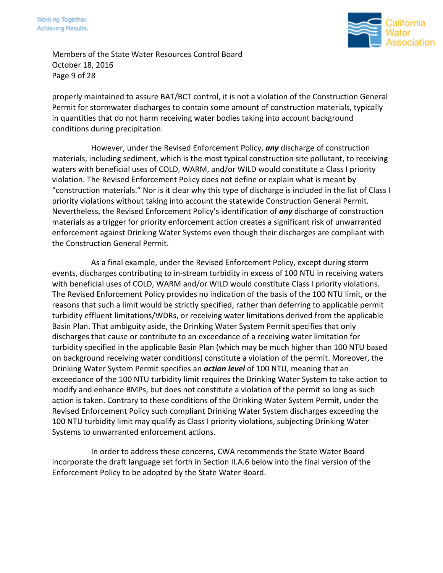

Members of the State Water Resources Control Board October 18, 2016 Page 9 of 28

properly maintained to assure BAT/BCT control, it is not a violation of the Construction General Permit for stormwater discharges to contain some amount of construction materials, typically in quantities that do not harm receiving water bodies taking into account background conditions during precipitation.

However, under the Revised Enforcement Policy, *any* discharge of construction materials, including sediment, which is the most typical construction site pollutant, to receiving waters with beneficial uses of COLD, WARM, and/or WILD would constitute a Class I priority violation. The Revised Enforcement Policy does not define or explain what is meant by "construction materials." Nor is it clear why this type of discharge is included in the list of Class I priority violations without taking into account the statewide Construction General Permit. Nevertheless, the Revised Enforcement Policy's identification of *any* discharge of construction materials as a trigger for priority enforcement action creates a significant risk of unwarranted enforcement against Drinking Water Systems even though their discharges are compliant with the Construction General Permit.

As a final example, under the Revised Enforcement Policy, except during storm events, discharges contributing to in-stream turbidity in excess of 100 NTU in receiving waters with beneficial uses of COLD, WARM and/or WILD would constitute Class I priority violations. The Revised Enforcement Policy provides no indication of the basis of the 100 NTU limit, or the reasons that such a limit would be strictly specified, rather than deferring to applicable permit turbidity effluent limitations/WDRs, or receiving water limitations derived from the applicable Basin Plan. That ambiguity aside, the Drinking Water System Permit specifies that only discharges that cause or contribute to an exceedance of a receiving water limitation for turbidity specified in the applicable Basin Plan (which may be much higher than 100 NTU based on background receiving water conditions) constitute a violation of the permit. Moreover, the Drinking Water System Permit specifies an *action level* of 100 NTU, meaning that an exceedance of the 100 NTU turbidity limit requires the Drinking Water System to take action to modify and enhance BMPs, but does not constitute a violation of the permit so long as such action is taken. Contrary to these conditions of the Drinking Water System Permit, under the Revised Enforcement Policy such compliant Drinking Water System discharges exceeding the 100 NTU turbidity limit may qualify as Class I priority violations, subjecting Drinking Water Systems to unwarranted enforcement actions.

In order to address these concerns, CWA recommends the State Water Board incorporate the draft language set forth in Section II.A.6 below into the final version of the Enforcement Policy to be adopted by the State Water Board.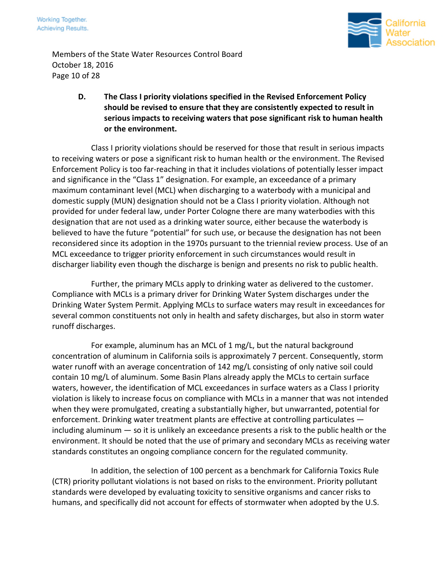



Members of the State Water Resources Control Board October 18, 2016 Page 10 of 28

> **D. The Class I priority violations specified in the Revised Enforcement Policy should be revised to ensure that they are consistently expected to result in serious impacts to receiving waters that pose significant risk to human health or the environment.**

Class I priority violations should be reserved for those that result in serious impacts to receiving waters or pose a significant risk to human health or the environment. The Revised Enforcement Policy is too far-reaching in that it includes violations of potentially lesser impact and significance in the "Class 1" designation. For example, an exceedance of a primary maximum contaminant level (MCL) when discharging to a waterbody with a municipal and domestic supply (MUN) designation should not be a Class I priority violation. Although not provided for under federal law, under Porter Cologne there are many waterbodies with this designation that are not used as a drinking water source, either because the waterbody is believed to have the future "potential" for such use, or because the designation has not been reconsidered since its adoption in the 1970s pursuant to the triennial review process. Use of an MCL exceedance to trigger priority enforcement in such circumstances would result in discharger liability even though the discharge is benign and presents no risk to public health.

Further, the primary MCLs apply to drinking water as delivered to the customer. Compliance with MCLs is a primary driver for Drinking Water System discharges under the Drinking Water System Permit. Applying MCLs to surface waters may result in exceedances for several common constituents not only in health and safety discharges, but also in storm water runoff discharges.

For example, aluminum has an MCL of 1 mg/L, but the natural background concentration of aluminum in California soils is approximately 7 percent. Consequently, storm water runoff with an average concentration of 142 mg/L consisting of only native soil could contain 10 mg/L of aluminum. Some Basin Plans already apply the MCLs to certain surface waters, however, the identification of MCL exceedances in surface waters as a Class I priority violation is likely to increase focus on compliance with MCLs in a manner that was not intended when they were promulgated, creating a substantially higher, but unwarranted, potential for enforcement. Drinking water treatment plants are effective at controlling particulates including aluminum — so it is unlikely an exceedance presents a risk to the public health or the environment. It should be noted that the use of primary and secondary MCLs as receiving water standards constitutes an ongoing compliance concern for the regulated community.

In addition, the selection of 100 percent as a benchmark for California Toxics Rule (CTR) priority pollutant violations is not based on risks to the environment. Priority pollutant standards were developed by evaluating toxicity to sensitive organisms and cancer risks to humans, and specifically did not account for effects of stormwater when adopted by the U.S.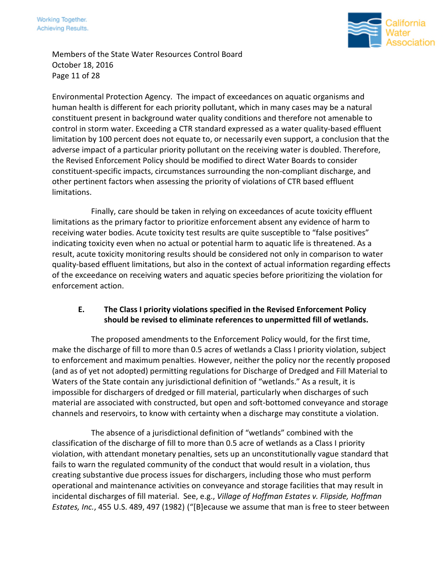

Members of the State Water Resources Control Board October 18, 2016 Page 11 of 28

Environmental Protection Agency. The impact of exceedances on aquatic organisms and human health is different for each priority pollutant, which in many cases may be a natural constituent present in background water quality conditions and therefore not amenable to control in storm water. Exceeding a CTR standard expressed as a water quality-based effluent limitation by 100 percent does not equate to, or necessarily even support, a conclusion that the adverse impact of a particular priority pollutant on the receiving water is doubled. Therefore, the Revised Enforcement Policy should be modified to direct Water Boards to consider constituent-specific impacts, circumstances surrounding the non-compliant discharge, and other pertinent factors when assessing the priority of violations of CTR based effluent limitations.

Finally, care should be taken in relying on exceedances of acute toxicity effluent limitations as the primary factor to prioritize enforcement absent any evidence of harm to receiving water bodies. Acute toxicity test results are quite susceptible to "false positives" indicating toxicity even when no actual or potential harm to aquatic life is threatened. As a result, acute toxicity monitoring results should be considered not only in comparison to water quality-based effluent limitations, but also in the context of actual information regarding effects of the exceedance on receiving waters and aquatic species before prioritizing the violation for enforcement action.

#### **E. The Class I priority violations specified in the Revised Enforcement Policy should be revised to eliminate references to unpermitted fill of wetlands.**

The proposed amendments to the Enforcement Policy would, for the first time, make the discharge of fill to more than 0.5 acres of wetlands a Class I priority violation, subject to enforcement and maximum penalties. However, neither the policy nor the recently proposed (and as of yet not adopted) permitting regulations for Discharge of Dredged and Fill Material to Waters of the State contain any jurisdictional definition of "wetlands." As a result, it is impossible for dischargers of dredged or fill material, particularly when discharges of such material are associated with constructed, but open and soft-bottomed conveyance and storage channels and reservoirs, to know with certainty when a discharge may constitute a violation.

The absence of a jurisdictional definition of "wetlands" combined with the classification of the discharge of fill to more than 0.5 acre of wetlands as a Class I priority violation, with attendant monetary penalties, sets up an unconstitutionally vague standard that fails to warn the regulated community of the conduct that would result in a violation, thus creating substantive due process issues for dischargers, including those who must perform operational and maintenance activities on conveyance and storage facilities that may result in incidental discharges of fill material. See, e.g., *Village of Hoffman Estates v. Flipside, Hoffman Estates, Inc.*, 455 U.S. 489, 497 (1982) ("[B]ecause we assume that man is free to steer between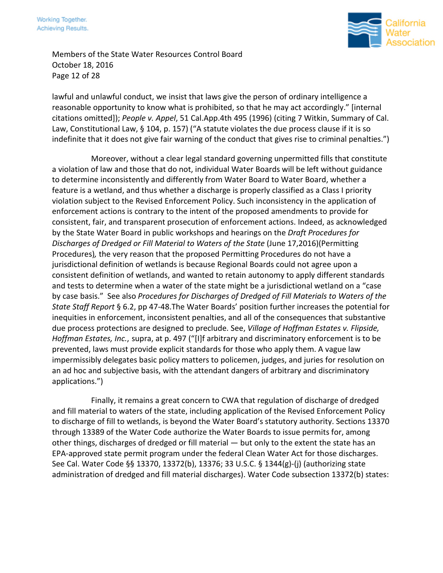

Members of the State Water Resources Control Board October 18, 2016 Page 12 of 28

lawful and unlawful conduct, we insist that laws give the person of ordinary intelligence a reasonable opportunity to know what is prohibited, so that he may act accordingly." [internal citations omitted]); *People v. Appel*, 51 Cal.App.4th 495 (1996) (citing 7 Witkin, Summary of Cal. Law, Constitutional Law, § 104, p. 157) ("A statute violates the due process clause if it is so indefinite that it does not give fair warning of the conduct that gives rise to criminal penalties.")

Moreover, without a clear legal standard governing unpermitted fills that constitute a violation of law and those that do not, individual Water Boards will be left without guidance to determine inconsistently and differently from Water Board to Water Board, whether a feature is a wetland, and thus whether a discharge is properly classified as a Class I priority violation subject to the Revised Enforcement Policy. Such inconsistency in the application of enforcement actions is contrary to the intent of the proposed amendments to provide for consistent, fair, and transparent prosecution of enforcement actions. Indeed, as acknowledged by the State Water Board in public workshops and hearings on the *Draft Procedures for Discharges of Dredged or Fill Material to Waters of the State* (June 17,2016)(Permitting Procedures)*,* the very reason that the proposed Permitting Procedures do not have a jurisdictional definition of wetlands is because Regional Boards could not agree upon a consistent definition of wetlands, and wanted to retain autonomy to apply different standards and tests to determine when a water of the state might be a jurisdictional wetland on a "case by case basis." See also *Procedures for Discharges of Dredged of Fill Materials to Waters of the State Staff Report* § 6.2, pp 47-48.The Water Boards' position further increases the potential for inequities in enforcement, inconsistent penalties, and all of the consequences that substantive due process protections are designed to preclude. See, *Village of Hoffman Estates v. Flipside, Hoffman Estates, Inc.*, supra, at p. 497 ("[I]f arbitrary and discriminatory enforcement is to be prevented, laws must provide explicit standards for those who apply them. A vague law impermissibly delegates basic policy matters to policemen, judges, and juries for resolution on an ad hoc and subjective basis, with the attendant dangers of arbitrary and discriminatory applications.")

Finally, it remains a great concern to CWA that regulation of discharge of dredged and fill material to waters of the state, including application of the Revised Enforcement Policy to discharge of fill to wetlands, is beyond the Water Board's statutory authority. Sections 13370 through 13389 of the Water Code authorize the Water Boards to issue permits for, among other things, discharges of dredged or fill material — but only to the extent the state has an EPA-approved state permit program under the federal Clean Water Act for those discharges. See Cal. Water Code §§ 13370, 13372(b), 13376; 33 U.S.C. § 1344(g)-(j) (authorizing state administration of dredged and fill material discharges). Water Code subsection 13372(b) states: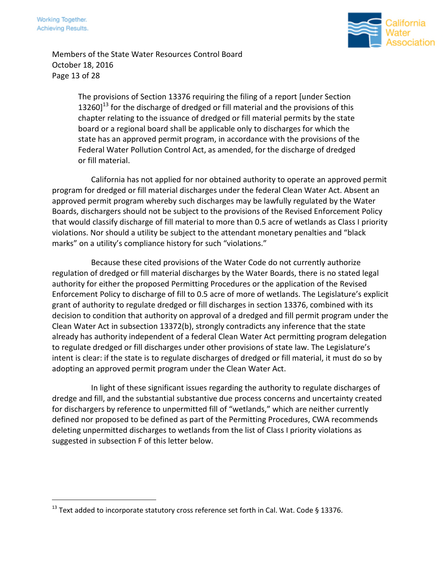

Members of the State Water Resources Control Board October 18, 2016 Page 13 of 28

> The provisions of Section 13376 requiring the filing of a report [under Section  $13260$ ]<sup>13</sup> for the discharge of dredged or fill material and the provisions of this chapter relating to the issuance of dredged or fill material permits by the state board or a regional board shall be applicable only to discharges for which the state has an approved permit program, in accordance with the provisions of the Federal Water Pollution Control Act, as amended, for the discharge of dredged or fill material.

California has not applied for nor obtained authority to operate an approved permit program for dredged or fill material discharges under the federal Clean Water Act. Absent an approved permit program whereby such discharges may be lawfully regulated by the Water Boards, dischargers should not be subject to the provisions of the Revised Enforcement Policy that would classify discharge of fill material to more than 0.5 acre of wetlands as Class I priority violations. Nor should a utility be subject to the attendant monetary penalties and "black marks" on a utility's compliance history for such "violations."

Because these cited provisions of the Water Code do not currently authorize regulation of dredged or fill material discharges by the Water Boards, there is no stated legal authority for either the proposed Permitting Procedures or the application of the Revised Enforcement Policy to discharge of fill to 0.5 acre of more of wetlands. The Legislature's explicit grant of authority to regulate dredged or fill discharges in section 13376, combined with its decision to condition that authority on approval of a dredged and fill permit program under the Clean Water Act in subsection 13372(b), strongly contradicts any inference that the state already has authority independent of a federal Clean Water Act permitting program delegation to regulate dredged or fill discharges under other provisions of state law. The Legislature's intent is clear: if the state is to regulate discharges of dredged or fill material, it must do so by adopting an approved permit program under the Clean Water Act.

In light of these significant issues regarding the authority to regulate discharges of dredge and fill, and the substantial substantive due process concerns and uncertainty created for dischargers by reference to unpermitted fill of "wetlands," which are neither currently defined nor proposed to be defined as part of the Permitting Procedures, CWA recommends deleting unpermitted discharges to wetlands from the list of Class I priority violations as suggested in subsection F of this letter below.

 $^{13}$  Text added to incorporate statutory cross reference set forth in Cal. Wat. Code § 13376.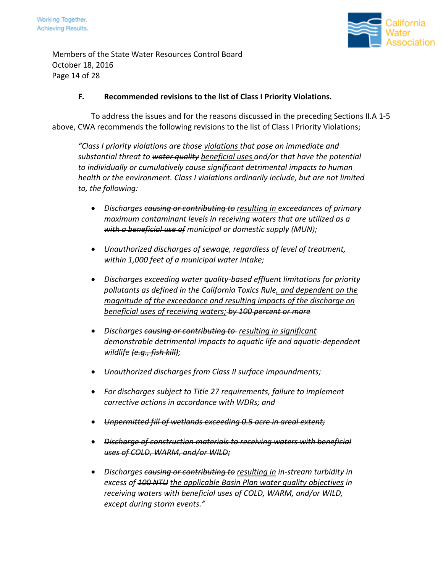

Members of the State Water Resources Control Board October 18, 2016 Page 14 of 28

#### **F. Recommended revisions to the list of Class I Priority Violations.**

To address the issues and for the reasons discussed in the preceding Sections II.A 1-5 above, CWA recommends the following revisions to the list of Class I Priority Violations;

*"Class I priority violations are those violations that pose an immediate and substantial threat to water quality beneficial uses and/or that have the potential to individually or cumulatively cause significant detrimental impacts to human health or the environment. Class I violations ordinarily include, but are not limited to, the following:*

- *Discharges causing or contributing to resulting in exceedances of primary maximum contaminant levels in receiving waters that are utilized as a with a beneficial use of municipal or domestic supply (MUN);*
- *Unauthorized discharges of sewage, regardless of level of treatment, within 1,000 feet of a municipal water intake;*
- *Discharges exceeding water quality-based effluent limitations for priority pollutants as defined in the California Toxics Rule, and dependent on the magnitude of the exceedance and resulting impacts of the discharge on beneficial uses of receiving waters; by 100 percent or more*
- *Discharges causing or contributing to resulting in significant demonstrable detrimental impacts to aquatic life and aquatic-dependent wildlife (e.g., fish kill);*
- *Unauthorized discharges from Class II surface impoundments;*
- *For discharges subject to Title 27 requirements, failure to implement corrective actions in accordance with WDRs; and*
- *Unpermitted fill of wetlands exceeding 0.5 acre in areal extent;*
- *Discharge of construction materials to receiving waters with beneficial uses of COLD, WARM, and/or WILD;*
- *Discharges causing or contributing to resulting in in-stream turbidity in excess of 100 NTU the applicable Basin Plan water quality objectives in receiving waters with beneficial uses of COLD, WARM, and/or WILD, except during storm events."*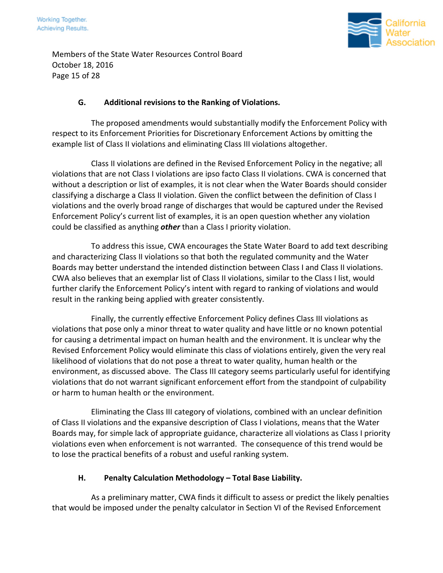

Members of the State Water Resources Control Board October 18, 2016 Page 15 of 28

### **G. Additional revisions to the Ranking of Violations.**

The proposed amendments would substantially modify the Enforcement Policy with respect to its Enforcement Priorities for Discretionary Enforcement Actions by omitting the example list of Class II violations and eliminating Class III violations altogether.

Class II violations are defined in the Revised Enforcement Policy in the negative; all violations that are not Class I violations are ipso facto Class II violations. CWA is concerned that without a description or list of examples, it is not clear when the Water Boards should consider classifying a discharge a Class II violation. Given the conflict between the definition of Class I violations and the overly broad range of discharges that would be captured under the Revised Enforcement Policy's current list of examples, it is an open question whether any violation could be classified as anything *other* than a Class I priority violation.

To address this issue, CWA encourages the State Water Board to add text describing and characterizing Class II violations so that both the regulated community and the Water Boards may better understand the intended distinction between Class I and Class II violations. CWA also believes that an exemplar list of Class II violations, similar to the Class I list, would further clarify the Enforcement Policy's intent with regard to ranking of violations and would result in the ranking being applied with greater consistently.

Finally, the currently effective Enforcement Policy defines Class III violations as violations that pose only a minor threat to water quality and have little or no known potential for causing a detrimental impact on human health and the environment. It is unclear why the Revised Enforcement Policy would eliminate this class of violations entirely, given the very real likelihood of violations that do not pose a threat to water quality, human health or the environment, as discussed above. The Class III category seems particularly useful for identifying violations that do not warrant significant enforcement effort from the standpoint of culpability or harm to human health or the environment.

Eliminating the Class III category of violations, combined with an unclear definition of Class II violations and the expansive description of Class I violations, means that the Water Boards may, for simple lack of appropriate guidance, characterize all violations as Class I priority violations even when enforcement is not warranted. The consequence of this trend would be to lose the practical benefits of a robust and useful ranking system.

# **H. Penalty Calculation Methodology – Total Base Liability.**

As a preliminary matter, CWA finds it difficult to assess or predict the likely penalties that would be imposed under the penalty calculator in Section VI of the Revised Enforcement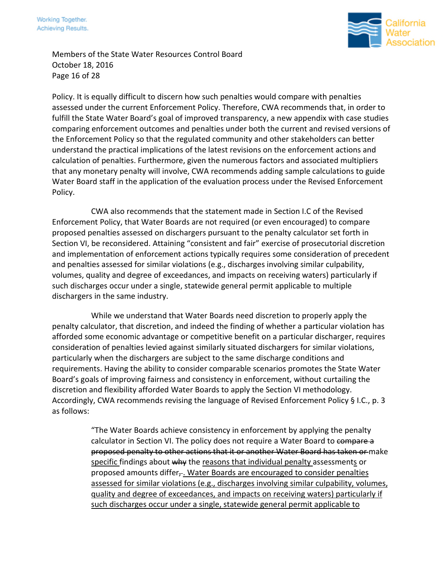

Members of the State Water Resources Control Board October 18, 2016 Page 16 of 28

Policy. It is equally difficult to discern how such penalties would compare with penalties assessed under the current Enforcement Policy. Therefore, CWA recommends that, in order to fulfill the State Water Board's goal of improved transparency, a new appendix with case studies comparing enforcement outcomes and penalties under both the current and revised versions of the Enforcement Policy so that the regulated community and other stakeholders can better understand the practical implications of the latest revisions on the enforcement actions and calculation of penalties. Furthermore, given the numerous factors and associated multipliers that any monetary penalty will involve, CWA recommends adding sample calculations to guide Water Board staff in the application of the evaluation process under the Revised Enforcement Policy.

CWA also recommends that the statement made in Section I.C of the Revised Enforcement Policy, that Water Boards are not required (or even encouraged) to compare proposed penalties assessed on dischargers pursuant to the penalty calculator set forth in Section VI, be reconsidered. Attaining "consistent and fair" exercise of prosecutorial discretion and implementation of enforcement actions typically requires some consideration of precedent and penalties assessed for similar violations (e.g., discharges involving similar culpability, volumes, quality and degree of exceedances, and impacts on receiving waters) particularly if such discharges occur under a single, statewide general permit applicable to multiple dischargers in the same industry.

While we understand that Water Boards need discretion to properly apply the penalty calculator, that discretion, and indeed the finding of whether a particular violation has afforded some economic advantage or competitive benefit on a particular discharger, requires consideration of penalties levied against similarly situated dischargers for similar violations, particularly when the dischargers are subject to the same discharge conditions and requirements. Having the ability to consider comparable scenarios promotes the State Water Board's goals of improving fairness and consistency in enforcement, without curtailing the discretion and flexibility afforded Water Boards to apply the Section VI methodology. Accordingly, CWA recommends revising the language of Revised Enforcement Policy § I.C., p. 3 as follows:

> "The Water Boards achieve consistency in enforcement by applying the penalty calculator in Section VI. The policy does not require a Water Board to compare a proposed penalty to other actions that it or another Water Board has taken or make specific findings about why the reasons that individual penalty assessments or proposed amounts differ<sub>,</sub> Water Boards are encouraged to consider penalties assessed for similar violations (e.g., discharges involving similar culpability, volumes, quality and degree of exceedances, and impacts on receiving waters) particularly if such discharges occur under a single, statewide general permit applicable to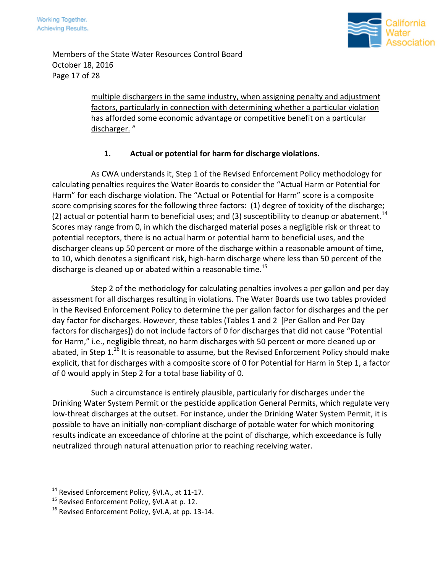

Members of the State Water Resources Control Board October 18, 2016 Page 17 of 28

> multiple dischargers in the same industry, when assigning penalty and adjustment factors, particularly in connection with determining whether a particular violation has afforded some economic advantage or competitive benefit on a particular discharger. "

## **1. Actual or potential for harm for discharge violations.**

As CWA understands it, Step 1 of the Revised Enforcement Policy methodology for calculating penalties requires the Water Boards to consider the "Actual Harm or Potential for Harm" for each discharge violation. The "Actual or Potential for Harm" score is a composite score comprising scores for the following three factors: (1) degree of toxicity of the discharge; (2) actual or potential harm to beneficial uses; and (3) susceptibility to cleanup or abatement.<sup>14</sup> Scores may range from 0, in which the discharged material poses a negligible risk or threat to potential receptors, there is no actual harm or potential harm to beneficial uses, and the discharger cleans up 50 percent or more of the discharge within a reasonable amount of time, to 10, which denotes a significant risk, high-harm discharge where less than 50 percent of the discharge is cleaned up or abated within a reasonable time.<sup>15</sup>

Step 2 of the methodology for calculating penalties involves a per gallon and per day assessment for all discharges resulting in violations. The Water Boards use two tables provided in the Revised Enforcement Policy to determine the per gallon factor for discharges and the per day factor for discharges. However, these tables (Tables 1 and 2 [Per Gallon and Per Day factors for discharges]) do not include factors of 0 for discharges that did not cause "Potential for Harm," i.e., negligible threat, no harm discharges with 50 percent or more cleaned up or abated, in Step  $1^{16}$  It is reasonable to assume, but the Revised Enforcement Policy should make explicit, that for discharges with a composite score of 0 for Potential for Harm in Step 1, a factor of 0 would apply in Step 2 for a total base liability of 0.

Such a circumstance is entirely plausible, particularly for discharges under the Drinking Water System Permit or the pesticide application General Permits, which regulate very low-threat discharges at the outset. For instance, under the Drinking Water System Permit, it is possible to have an initially non-compliant discharge of potable water for which monitoring results indicate an exceedance of chlorine at the point of discharge, which exceedance is fully neutralized through natural attenuation prior to reaching receiving water.

<sup>&</sup>lt;sup>14</sup> Revised Enforcement Policy, §VI.A., at 11-17.

<sup>&</sup>lt;sup>15</sup> Revised Enforcement Policy, §VI.A at p. 12.

<sup>&</sup>lt;sup>16</sup> Revised Enforcement Policy, §VI.A, at pp. 13-14.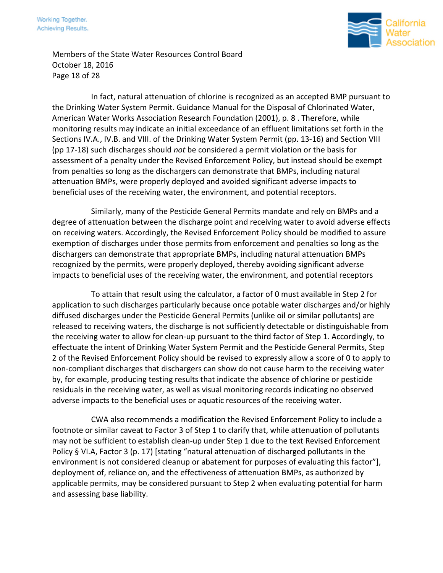

Members of the State Water Resources Control Board October 18, 2016 Page 18 of 28

In fact, natural attenuation of chlorine is recognized as an accepted BMP pursuant to the Drinking Water System Permit. Guidance Manual for the Disposal of Chlorinated Water, American Water Works Association Research Foundation (2001), p. 8 . Therefore, while monitoring results may indicate an initial exceedance of an effluent limitations set forth in the Sections IV.A., IV.B. and VIII. of the Drinking Water System Permit (pp. 13-16) and Section VIII (pp 17-18) such discharges should *not* be considered a permit violation or the basis for assessment of a penalty under the Revised Enforcement Policy, but instead should be exempt from penalties so long as the dischargers can demonstrate that BMPs, including natural attenuation BMPs, were properly deployed and avoided significant adverse impacts to beneficial uses of the receiving water, the environment, and potential receptors.

Similarly, many of the Pesticide General Permits mandate and rely on BMPs and a degree of attenuation between the discharge point and receiving water to avoid adverse effects on receiving waters. Accordingly, the Revised Enforcement Policy should be modified to assure exemption of discharges under those permits from enforcement and penalties so long as the dischargers can demonstrate that appropriate BMPs, including natural attenuation BMPs recognized by the permits, were properly deployed, thereby avoiding significant adverse impacts to beneficial uses of the receiving water, the environment, and potential receptors

To attain that result using the calculator, a factor of 0 must available in Step 2 for application to such discharges particularly because once potable water discharges and/or highly diffused discharges under the Pesticide General Permits (unlike oil or similar pollutants) are released to receiving waters, the discharge is not sufficiently detectable or distinguishable from the receiving water to allow for clean-up pursuant to the third factor of Step 1. Accordingly, to effectuate the intent of Drinking Water System Permit and the Pesticide General Permits, Step 2 of the Revised Enforcement Policy should be revised to expressly allow a score of 0 to apply to non-compliant discharges that dischargers can show do not cause harm to the receiving water by, for example, producing testing results that indicate the absence of chlorine or pesticide residuals in the receiving water, as well as visual monitoring records indicating no observed adverse impacts to the beneficial uses or aquatic resources of the receiving water.

CWA also recommends a modification the Revised Enforcement Policy to include a footnote or similar caveat to Factor 3 of Step 1 to clarify that, while attenuation of pollutants may not be sufficient to establish clean-up under Step 1 due to the text Revised Enforcement Policy § VI.A, Factor 3 (p. 17) [stating "natural attenuation of discharged pollutants in the environment is not considered cleanup or abatement for purposes of evaluating this factor"], deployment of, reliance on, and the effectiveness of attenuation BMPs, as authorized by applicable permits, may be considered pursuant to Step 2 when evaluating potential for harm and assessing base liability.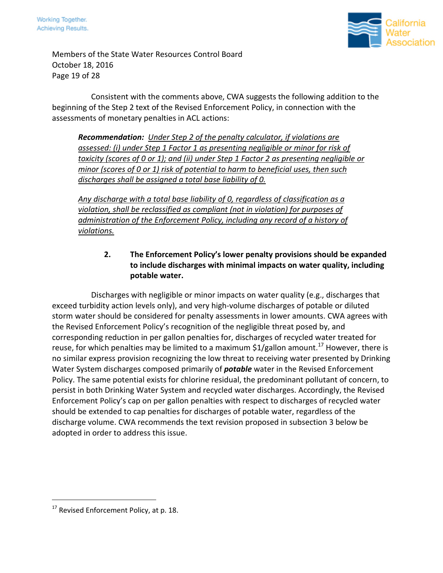

Members of the State Water Resources Control Board October 18, 2016 Page 19 of 28

Consistent with the comments above, CWA suggests the following addition to the beginning of the Step 2 text of the Revised Enforcement Policy, in connection with the assessments of monetary penalties in ACL actions:

*Recommendation: Under Step 2 of the penalty calculator, if violations are assessed: (i) under Step 1 Factor 1 as presenting negligible or minor for risk of toxicity (scores of 0 or 1); and (ii) under Step 1 Factor 2 as presenting negligible or minor (scores of 0 or 1) risk of potential to harm to beneficial uses, then such discharges shall be assigned a total base liability of 0.*

*Any discharge with a total base liability of 0, regardless of classification as a violation, shall be reclassified as compliant (not in violation) for purposes of administration of the Enforcement Policy, including any record of a history of violations.*

# **2. The Enforcement Policy's lower penalty provisions should be expanded to include discharges with minimal impacts on water quality, including potable water.**

Discharges with negligible or minor impacts on water quality (e.g., discharges that exceed turbidity action levels only), and very high-volume discharges of potable or diluted storm water should be considered for penalty assessments in lower amounts. CWA agrees with the Revised Enforcement Policy's recognition of the negligible threat posed by, and corresponding reduction in per gallon penalties for, discharges of recycled water treated for reuse, for which penalties may be limited to a maximum \$1/gallon amount.<sup>17</sup> However, there is no similar express provision recognizing the low threat to receiving water presented by Drinking Water System discharges composed primarily of *potable* water in the Revised Enforcement Policy. The same potential exists for chlorine residual, the predominant pollutant of concern, to persist in both Drinking Water System and recycled water discharges. Accordingly, the Revised Enforcement Policy's cap on per gallon penalties with respect to discharges of recycled water should be extended to cap penalties for discharges of potable water, regardless of the discharge volume. CWA recommends the text revision proposed in subsection 3 below be adopted in order to address this issue.

<sup>&</sup>lt;sup>17</sup> Revised Enforcement Policy, at p. 18.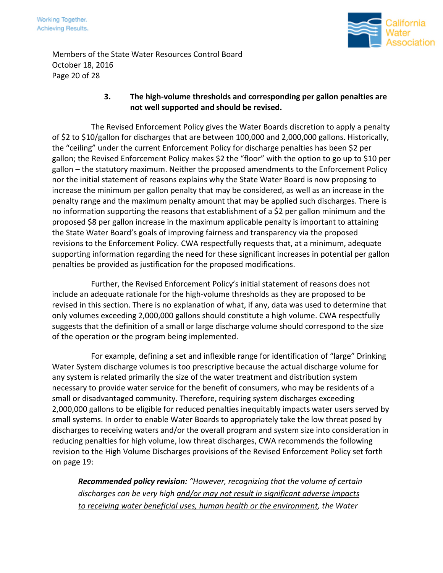



Members of the State Water Resources Control Board October 18, 2016 Page 20 of 28

#### **3. The high-volume thresholds and corresponding per gallon penalties are not well supported and should be revised.**

The Revised Enforcement Policy gives the Water Boards discretion to apply a penalty of \$2 to \$10/gallon for discharges that are between 100,000 and 2,000,000 gallons. Historically, the "ceiling" under the current Enforcement Policy for discharge penalties has been \$2 per gallon; the Revised Enforcement Policy makes \$2 the "floor" with the option to go up to \$10 per gallon – the statutory maximum. Neither the proposed amendments to the Enforcement Policy nor the initial statement of reasons explains why the State Water Board is now proposing to increase the minimum per gallon penalty that may be considered, as well as an increase in the penalty range and the maximum penalty amount that may be applied such discharges. There is no information supporting the reasons that establishment of a \$2 per gallon minimum and the proposed \$8 per gallon increase in the maximum applicable penalty is important to attaining the State Water Board's goals of improving fairness and transparency via the proposed revisions to the Enforcement Policy. CWA respectfully requests that, at a minimum, adequate supporting information regarding the need for these significant increases in potential per gallon penalties be provided as justification for the proposed modifications.

Further, the Revised Enforcement Policy's initial statement of reasons does not include an adequate rationale for the high-volume thresholds as they are proposed to be revised in this section. There is no explanation of what, if any, data was used to determine that only volumes exceeding 2,000,000 gallons should constitute a high volume. CWA respectfully suggests that the definition of a small or large discharge volume should correspond to the size of the operation or the program being implemented.

For example, defining a set and inflexible range for identification of "large" Drinking Water System discharge volumes is too prescriptive because the actual discharge volume for any system is related primarily the size of the water treatment and distribution system necessary to provide water service for the benefit of consumers, who may be residents of a small or disadvantaged community. Therefore, requiring system discharges exceeding 2,000,000 gallons to be eligible for reduced penalties inequitably impacts water users served by small systems. In order to enable Water Boards to appropriately take the low threat posed by discharges to receiving waters and/or the overall program and system size into consideration in reducing penalties for high volume, low threat discharges, CWA recommends the following revision to the High Volume Discharges provisions of the Revised Enforcement Policy set forth on page 19:

*Recommended policy revision: "However, recognizing that the volume of certain discharges can be very high and/or may not result in significant adverse impacts to receiving water beneficial uses, human health or the environment, the Water*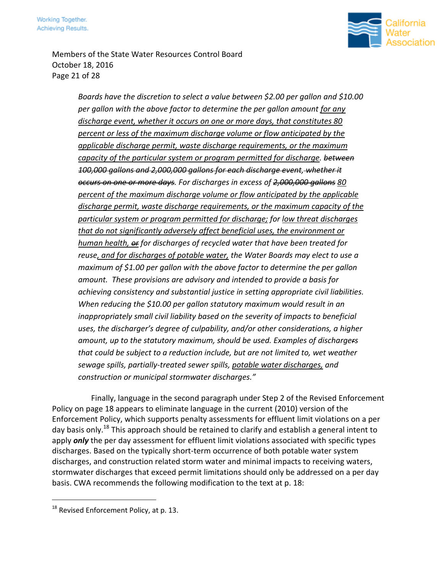

#### Members of the State Water Resources Control Board October 18, 2016 Page 21 of 28

*Boards have the discretion to select a value between \$2.00 per gallon and \$10.00 per gallon with the above factor to determine the per gallon amount for any discharge event, whether it occurs on one or more days, that constitutes 80 percent or less of the maximum discharge volume or flow anticipated by the applicable discharge permit, waste discharge requirements, or the maximum capacity of the particular system or program permitted for discharge. between 100,000 gallons and 2,000,000 gallons for each discharge event, whether it occurs on one or more days. For discharges in excess of 2,000,000 gallons 80 percent of the maximum discharge volume or flow anticipated by the applicable discharge permit, waste discharge requirements, or the maximum capacity of the particular system or program permitted for discharge; for low threat discharges that do not significantly adversely affect beneficial uses, the environment or human health, or for discharges of recycled water that have been treated for reuse, and for discharges of potable water, the Water Boards may elect to use a maximum of \$1.00 per gallon with the above factor to determine the per gallon amount. These provisions are advisory and intended to provide a basis for achieving consistency and substantial justice in setting appropriate civil liabilities. When reducing the \$10.00 per gallon statutory maximum would result in an inappropriately small civil liability based on the severity of impacts to beneficial uses, the discharger's degree of culpability, and/or other considerations, a higher amount, up to the statutory maximum, should be used. Examples of dischargers that could be subject to a reduction include, but are not limited to, wet weather sewage spills, partially-treated sewer spills, potable water discharges, and construction or municipal stormwater discharges."*

Finally, language in the second paragraph under Step 2 of the Revised Enforcement Policy on page 18 appears to eliminate language in the current (2010) version of the Enforcement Policy, which supports penalty assessments for effluent limit violations on a per day basis only.<sup>18</sup> This approach should be retained to clarify and establish a general intent to apply *only* the per day assessment for effluent limit violations associated with specific types discharges. Based on the typically short-term occurrence of both potable water system discharges, and construction related storm water and minimal impacts to receiving waters, stormwater discharges that exceed permit limitations should only be addressed on a per day basis. CWA recommends the following modification to the text at p. 18:

 $18$  Revised Enforcement Policy, at p. 13.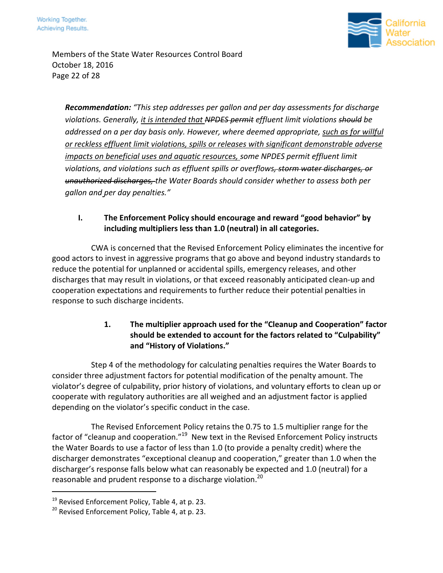

Members of the State Water Resources Control Board October 18, 2016 Page 22 of 28

*Recommendation: "This step addresses per gallon and per day assessments for discharge violations. Generally, it is intended that NPDES permit effluent limit violations should be addressed on a per day basis only. However, where deemed appropriate, such as for willful or reckless effluent limit violations, spills or releases with significant demonstrable adverse impacts on beneficial uses and aquatic resources, some NPDES permit effluent limit violations, and violations such as effluent spills or overflows, storm water discharges, or unauthorized discharges, the Water Boards should consider whether to assess both per gallon and per day penalties."*

### **I. The Enforcement Policy should encourage and reward "good behavior" by including multipliers less than 1.0 (neutral) in all categories.**

CWA is concerned that the Revised Enforcement Policy eliminates the incentive for good actors to invest in aggressive programs that go above and beyond industry standards to reduce the potential for unplanned or accidental spills, emergency releases, and other discharges that may result in violations, or that exceed reasonably anticipated clean-up and cooperation expectations and requirements to further reduce their potential penalties in response to such discharge incidents.

## **1. The multiplier approach used for the "Cleanup and Cooperation" factor should be extended to account for the factors related to "Culpability" and "History of Violations."**

Step 4 of the methodology for calculating penalties requires the Water Boards to consider three adjustment factors for potential modification of the penalty amount. The violator's degree of culpability, prior history of violations, and voluntary efforts to clean up or cooperate with regulatory authorities are all weighed and an adjustment factor is applied depending on the violator's specific conduct in the case.

The Revised Enforcement Policy retains the 0.75 to 1.5 multiplier range for the factor of "cleanup and cooperation."<sup>19</sup> New text in the Revised Enforcement Policy instructs the Water Boards to use a factor of less than 1.0 (to provide a penalty credit) where the discharger demonstrates "exceptional cleanup and cooperation," greater than 1.0 when the discharger's response falls below what can reasonably be expected and 1.0 (neutral) for a reasonable and prudent response to a discharge violation.<sup>20</sup>

 $19$  Revised Enforcement Policy, Table 4, at p. 23.

 $20$  Revised Enforcement Policy, Table 4, at p. 23.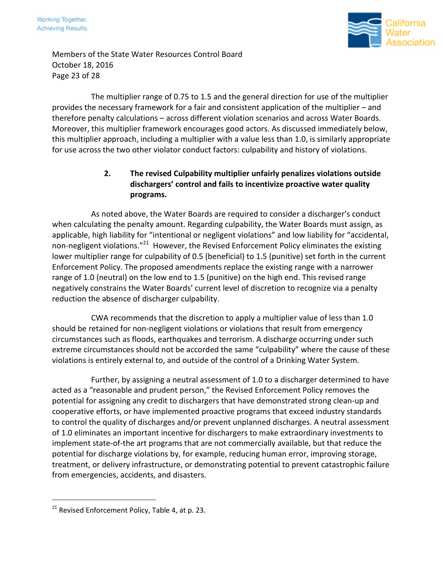

Members of the State Water Resources Control Board October 18, 2016 Page 23 of 28

The multiplier range of 0.75 to 1.5 and the general direction for use of the multiplier provides the necessary framework for a fair and consistent application of the multiplier – and therefore penalty calculations – across different violation scenarios and across Water Boards. Moreover, this multiplier framework encourages good actors. As discussed immediately below, this multiplier approach, including a multiplier with a value less than 1.0, is similarly appropriate for use across the two other violator conduct factors: culpability and history of violations.

## **2. The revised Culpability multiplier unfairly penalizes violations outside dischargers' control and fails to incentivize proactive water quality programs.**

As noted above, the Water Boards are required to consider a discharger's conduct when calculating the penalty amount. Regarding culpability, the Water Boards must assign, as applicable, high liability for "intentional or negligent violations" and low liability for "accidental, non-negligent violations."<sup>21</sup> However, the Revised Enforcement Policy eliminates the existing lower multiplier range for culpability of 0.5 (beneficial) to 1.5 (punitive) set forth in the current Enforcement Policy. The proposed amendments replace the existing range with a narrower range of 1.0 (neutral) on the low end to 1.5 (punitive) on the high end. This revised range negatively constrains the Water Boards' current level of discretion to recognize via a penalty reduction the absence of discharger culpability.

CWA recommends that the discretion to apply a multiplier value of less than 1.0 should be retained for non-negligent violations or violations that result from emergency circumstances such as floods, earthquakes and terrorism. A discharge occurring under such extreme circumstances should not be accorded the same "culpability" where the cause of these violations is entirely external to, and outside of the control of a Drinking Water System.

Further, by assigning a neutral assessment of 1.0 to a discharger determined to have acted as a "reasonable and prudent person," the Revised Enforcement Policy removes the potential for assigning any credit to dischargers that have demonstrated strong clean-up and cooperative efforts, or have implemented proactive programs that exceed industry standards to control the quality of discharges and/or prevent unplanned discharges. A neutral assessment of 1.0 eliminates an important incentive for dischargers to make extraordinary investments to implement state-of-the art programs that are not commercially available, but that reduce the potential for discharge violations by, for example, reducing human error, improving storage, treatment, or delivery infrastructure, or demonstrating potential to prevent catastrophic failure from emergencies, accidents, and disasters.

<sup>&</sup>lt;sup>21</sup> Revised Enforcement Policy, Table 4, at p. 23.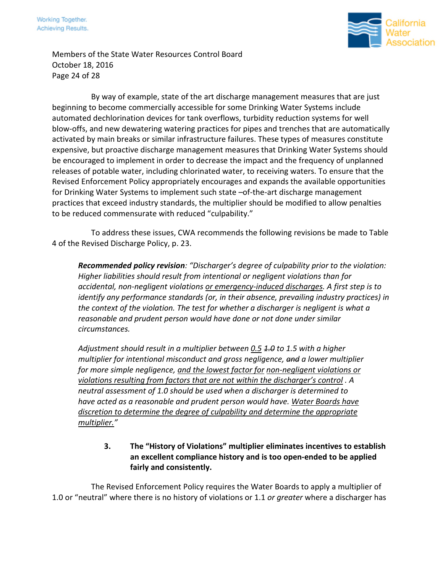

Members of the State Water Resources Control Board October 18, 2016 Page 24 of 28

By way of example, state of the art discharge management measures that are just beginning to become commercially accessible for some Drinking Water Systems include automated dechlorination devices for tank overflows, turbidity reduction systems for well blow-offs, and new dewatering watering practices for pipes and trenches that are automatically activated by main breaks or similar infrastructure failures. These types of measures constitute expensive, but proactive discharge management measures that Drinking Water Systems should be encouraged to implement in order to decrease the impact and the frequency of unplanned releases of potable water, including chlorinated water, to receiving waters. To ensure that the Revised Enforcement Policy appropriately encourages and expands the available opportunities for Drinking Water Systems to implement such state –of-the-art discharge management practices that exceed industry standards, the multiplier should be modified to allow penalties to be reduced commensurate with reduced "culpability."

To address these issues, CWA recommends the following revisions be made to Table 4 of the Revised Discharge Policy, p. 23.

*Recommended policy revision: "Discharger's degree of culpability prior to the violation: Higher liabilities should result from intentional or negligent violations than for accidental, non-negligent violations or emergency-induced discharges. A first step is to identify any performance standards (or, in their absence, prevailing industry practices) in the context of the violation. The test for whether a discharger is negligent is what a reasonable and prudent person would have done or not done under similar circumstances.*

*Adjustment should result in a multiplier between 0.5 1.0 to 1.5 with a higher multiplier for intentional misconduct and gross negligence, and a lower multiplier for more simple negligence, and the lowest factor for non-negligent violations or violations resulting from factors that are not within the discharger's control . A neutral assessment of 1.0 should be used when a discharger is determined to have acted as a reasonable and prudent person would have. Water Boards have discretion to determine the degree of culpability and determine the appropriate multiplier."*

## **3. The "History of Violations" multiplier eliminates incentives to establish an excellent compliance history and is too open-ended to be applied fairly and consistently.**

The Revised Enforcement Policy requires the Water Boards to apply a multiplier of 1.0 or "neutral" where there is no history of violations or 1.1 *or greater* where a discharger has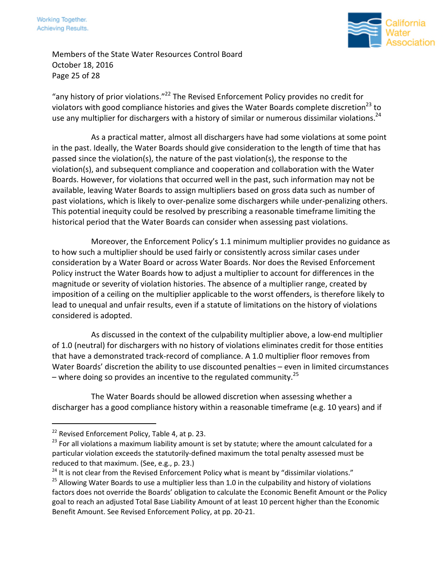

Members of the State Water Resources Control Board October 18, 2016 Page 25 of 28

"any history of prior violations."<sup>22</sup> The Revised Enforcement Policy provides no credit for violators with good compliance histories and gives the Water Boards complete discretion<sup>23</sup> to use any multiplier for dischargers with a history of similar or numerous dissimilar violations.<sup>24</sup>

As a practical matter, almost all dischargers have had some violations at some point in the past. Ideally, the Water Boards should give consideration to the length of time that has passed since the violation(s), the nature of the past violation(s), the response to the violation(s), and subsequent compliance and cooperation and collaboration with the Water Boards. However, for violations that occurred well in the past, such information may not be available, leaving Water Boards to assign multipliers based on gross data such as number of past violations, which is likely to over-penalize some dischargers while under-penalizing others. This potential inequity could be resolved by prescribing a reasonable timeframe limiting the historical period that the Water Boards can consider when assessing past violations.

Moreover, the Enforcement Policy's 1.1 minimum multiplier provides no guidance as to how such a multiplier should be used fairly or consistently across similar cases under consideration by a Water Board or across Water Boards. Nor does the Revised Enforcement Policy instruct the Water Boards how to adjust a multiplier to account for differences in the magnitude or severity of violation histories. The absence of a multiplier range, created by imposition of a ceiling on the multiplier applicable to the worst offenders, is therefore likely to lead to unequal and unfair results, even if a statute of limitations on the history of violations considered is adopted.

As discussed in the context of the culpability multiplier above, a low-end multiplier of 1.0 (neutral) for dischargers with no history of violations eliminates credit for those entities that have a demonstrated track-record of compliance. A 1.0 multiplier floor removes from Water Boards' discretion the ability to use discounted penalties – even in limited circumstances – where doing so provides an incentive to the regulated community.<sup>25</sup>

The Water Boards should be allowed discretion when assessing whether a discharger has a good compliance history within a reasonable timeframe (e.g. 10 years) and if

<sup>&</sup>lt;sup>22</sup> Revised Enforcement Policy, Table 4, at p. 23.

 $23$  For all violations a maximum liability amount is set by statute; where the amount calculated for a particular violation exceeds the statutorily-defined maximum the total penalty assessed must be reduced to that maximum. (See, e.g., p. 23.)

 $24$  It is not clear from the Revised Enforcement Policy what is meant by "dissimilar violations."

<sup>&</sup>lt;sup>25</sup> Allowing Water Boards to use a multiplier less than 1.0 in the culpability and history of violations factors does not override the Boards' obligation to calculate the Economic Benefit Amount or the Policy goal to reach an adjusted Total Base Liability Amount of at least 10 percent higher than the Economic Benefit Amount. See Revised Enforcement Policy, at pp. 20-21.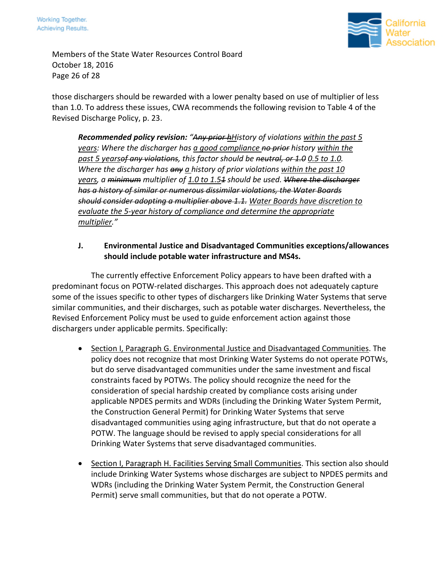

Members of the State Water Resources Control Board October 18, 2016 Page 26 of 28

those dischargers should be rewarded with a lower penalty based on use of multiplier of less than 1.0. To address these issues, CWA recommends the following revision to Table 4 of the Revised Discharge Policy, p. 23.

*Recommended policy revision: "Any prior hHistory of violations within the past 5 years: Where the discharger has a good compliance no prior history within the past 5 yearsof any violations, this factor should be neutral, or 1.0 0.5 to 1.0. Where the discharger has any a history of prior violations within the past 10 years, a minimum multiplier of 1.0 to 1.51 should be used. Where the discharger has a history of similar or numerous dissimilar violations, the Water Boards should consider adopting a multiplier above 1.1. Water Boards have discretion to evaluate the 5-year history of compliance and determine the appropriate multiplier."*

### **J. Environmental Justice and Disadvantaged Communities exceptions/allowances should include potable water infrastructure and MS4s.**

The currently effective Enforcement Policy appears to have been drafted with a predominant focus on POTW-related discharges. This approach does not adequately capture some of the issues specific to other types of dischargers like Drinking Water Systems that serve similar communities, and their discharges, such as potable water discharges. Nevertheless, the Revised Enforcement Policy must be used to guide enforcement action against those dischargers under applicable permits. Specifically:

- **Section I, Paragraph G. Environmental Justice and Disadvantaged Communities. The** policy does not recognize that most Drinking Water Systems do not operate POTWs, but do serve disadvantaged communities under the same investment and fiscal constraints faced by POTWs. The policy should recognize the need for the consideration of special hardship created by compliance costs arising under applicable NPDES permits and WDRs (including the Drinking Water System Permit, the Construction General Permit) for Drinking Water Systems that serve disadvantaged communities using aging infrastructure, but that do not operate a POTW. The language should be revised to apply special considerations for all Drinking Water Systems that serve disadvantaged communities.
- Section I, Paragraph H. Facilities Serving Small Communities. This section also should include Drinking Water Systems whose discharges are subject to NPDES permits and WDRs (including the Drinking Water System Permit, the Construction General Permit) serve small communities, but that do not operate a POTW.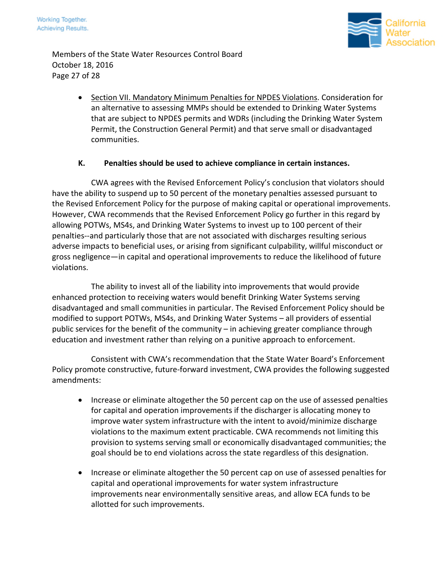



Members of the State Water Resources Control Board October 18, 2016 Page 27 of 28

> Section VII. Mandatory Minimum Penalties for NPDES Violations. Consideration for an alternative to assessing MMPs should be extended to Drinking Water Systems that are subject to NPDES permits and WDRs (including the Drinking Water System Permit, the Construction General Permit) and that serve small or disadvantaged communities.

#### **K. Penalties should be used to achieve compliance in certain instances.**

CWA agrees with the Revised Enforcement Policy's conclusion that violators should have the ability to suspend up to 50 percent of the monetary penalties assessed pursuant to the Revised Enforcement Policy for the purpose of making capital or operational improvements. However, CWA recommends that the Revised Enforcement Policy go further in this regard by allowing POTWs, MS4s, and Drinking Water Systems to invest up to 100 percent of their penalties--and particularly those that are not associated with discharges resulting serious adverse impacts to beneficial uses, or arising from significant culpability, willful misconduct or gross negligence—in capital and operational improvements to reduce the likelihood of future violations.

The ability to invest all of the liability into improvements that would provide enhanced protection to receiving waters would benefit Drinking Water Systems serving disadvantaged and small communities in particular. The Revised Enforcement Policy should be modified to support POTWs, MS4s, and Drinking Water Systems – all providers of essential public services for the benefit of the community – in achieving greater compliance through education and investment rather than relying on a punitive approach to enforcement.

Consistent with CWA's recommendation that the State Water Board's Enforcement Policy promote constructive, future-forward investment, CWA provides the following suggested amendments:

- Increase or eliminate altogether the 50 percent cap on the use of assessed penalties for capital and operation improvements if the discharger is allocating money to improve water system infrastructure with the intent to avoid/minimize discharge violations to the maximum extent practicable. CWA recommends not limiting this provision to systems serving small or economically disadvantaged communities; the goal should be to end violations across the state regardless of this designation.
- Increase or eliminate altogether the 50 percent cap on use of assessed penalties for capital and operational improvements for water system infrastructure improvements near environmentally sensitive areas, and allow ECA funds to be allotted for such improvements.